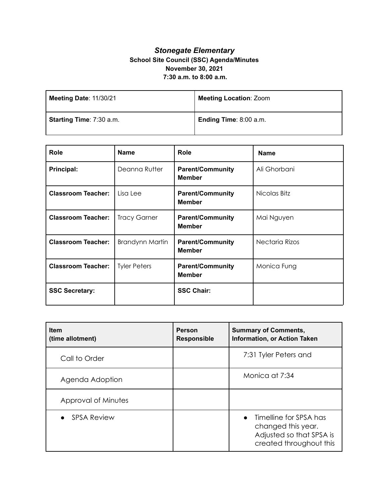## *Stonegate Elementary* **School Site Council (SSC) Agenda/Minutes November 30, 2021 7:30 a.m. to 8:00 a.m.**

| Meeting Date: 11/30/21   | <b>Meeting Location: Zoom</b> |
|--------------------------|-------------------------------|
| Starting Time: 7:30 a.m. | Ending Time: 8:00 a.m.        |

| Role                      | <b>Name</b>            | Role                                     | <b>Name</b>    |
|---------------------------|------------------------|------------------------------------------|----------------|
| Principal:                | Deanna Rutter          | <b>Parent/Community</b><br><b>Member</b> | Ali Ghorbani   |
| <b>Classroom Teacher:</b> | Lisa Lee               | <b>Parent/Community</b><br><b>Member</b> | Nicolas Bitz   |
| <b>Classroom Teacher:</b> | <b>Tracy Garner</b>    | <b>Parent/Community</b><br><b>Member</b> | Mai Nguyen     |
| <b>Classroom Teacher:</b> | <b>Brandynn Martin</b> | <b>Parent/Community</b><br><b>Member</b> | Nectaria Rizos |
| <b>Classroom Teacher:</b> | <b>Tyler Peters</b>    | <b>Parent/Community</b><br><b>Member</b> | Monica Fung    |
| <b>SSC Secretary:</b>     |                        | <b>SSC Chair:</b>                        |                |

| <b>Item</b><br>(time allotment) | <b>Person</b><br><b>Responsible</b> | <b>Summary of Comments,</b><br><b>Information, or Action Taken</b>                                               |
|---------------------------------|-------------------------------------|------------------------------------------------------------------------------------------------------------------|
| Call to Order                   |                                     | 7:31 Tyler Peters and                                                                                            |
| Agenda Adoption                 |                                     | Monica at 7:34                                                                                                   |
| Approval of Minutes             |                                     |                                                                                                                  |
| <b>SPSA Review</b>              |                                     | Timelline for SPSA has<br>$\bullet$<br>changed this year.<br>Adjusted so that SPSA is<br>created throughout this |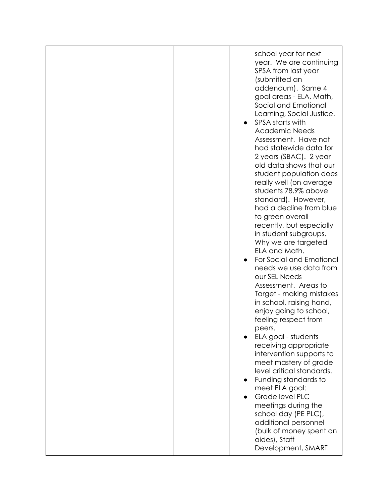| school year for next<br>year. We are continuing<br>SPSA from last year<br>(submitted an<br>addendum). Same 4<br>goal areas - ELA, Math,<br>Social and Emotional<br>Learning, Social Justice.<br>SPSA starts with<br><b>Academic Needs</b><br>Assessment. Have not<br>had statewide data for<br>2 years (SBAC). 2 year<br>old data shows that our<br>student population does<br>really well (on average<br>students 78.9% above<br>standard). However,<br>had a decline from blue<br>to green overall<br>recently, but especially<br>in student subgroups.<br>Why we are targeted<br>ELA and Math.<br>For Social and Emotional<br>needs we use data from<br>our SEL Needs<br>Assessment. Areas to<br>Target - making mistakes<br>in school, raising hand,<br>enjoy going to school,<br>feeling respect from<br>peers.<br>ELA goal - students<br>receiving appropriate<br>intervention supports to<br>meet mastery of grade<br>level critical standards.<br>Funding standards to<br>meet ELA goal:<br>Grade level PLC<br>meetings during the<br>school day (PE PLC),<br>additional personnel<br>(bulk of money spent on<br>aides), Staff | Development, SMART |  |
|----------------------------------------------------------------------------------------------------------------------------------------------------------------------------------------------------------------------------------------------------------------------------------------------------------------------------------------------------------------------------------------------------------------------------------------------------------------------------------------------------------------------------------------------------------------------------------------------------------------------------------------------------------------------------------------------------------------------------------------------------------------------------------------------------------------------------------------------------------------------------------------------------------------------------------------------------------------------------------------------------------------------------------------------------------------------------------------------------------------------------------------|--------------------|--|
|                                                                                                                                                                                                                                                                                                                                                                                                                                                                                                                                                                                                                                                                                                                                                                                                                                                                                                                                                                                                                                                                                                                                        |                    |  |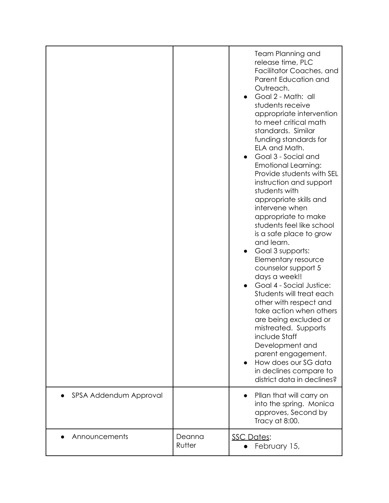|                        |                  | <b>Team Planning and</b><br>release time, PLC<br>Facilitator Coaches, and<br>Parent Education and<br>Outreach.<br>Goal 2 - Math: all<br>students receive<br>appropriate intervention<br>to meet critical math<br>standards. Similar<br>funding standards for<br>ELA and Math.<br>Goal 3 - Social and<br><b>Emotional Learning:</b><br>Provide students with SEL<br>instruction and support<br>students with<br>appropriate skills and<br>intervene when<br>appropriate to make<br>students feel like school<br>is a safe place to grow<br>and learn.<br>Goal 3 supports:<br>$\bullet$<br>Elementary resource<br>counselor support 5<br>days a week!!<br>Goal 4 - Social Justice:<br>Students will treat each<br>other with respect and<br>take action when others<br>are being excluded or<br>mistreated. Supports<br>include Staff<br>Development and<br>parent engagement.<br>How does our SG data<br>in declines compare to<br>district data in declines? |
|------------------------|------------------|--------------------------------------------------------------------------------------------------------------------------------------------------------------------------------------------------------------------------------------------------------------------------------------------------------------------------------------------------------------------------------------------------------------------------------------------------------------------------------------------------------------------------------------------------------------------------------------------------------------------------------------------------------------------------------------------------------------------------------------------------------------------------------------------------------------------------------------------------------------------------------------------------------------------------------------------------------------|
| SPSA Addendum Approval |                  | Pllan that will carry on<br>into the spring. Monica<br>approves, Second by<br>Tracy at 8:00.                                                                                                                                                                                                                                                                                                                                                                                                                                                                                                                                                                                                                                                                                                                                                                                                                                                                 |
| Announcements          | Deanna<br>Rutter | <b>SSC Dates:</b><br>February 15,                                                                                                                                                                                                                                                                                                                                                                                                                                                                                                                                                                                                                                                                                                                                                                                                                                                                                                                            |